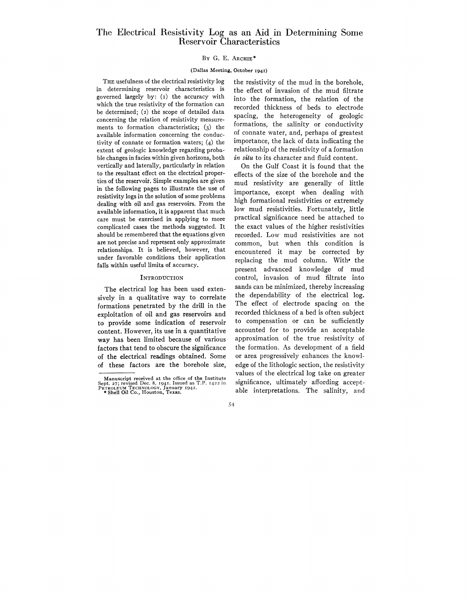# The Electrical Resistivity Log as an Aid in Determining Some Reservoir Characteristics

## By G. E. ARCHIE\*

#### (Dallas Meeting, October 1941)

54

THE usefulness of the electrical resistivity log in determining reservoir characteristics is governed largely by: (I) the accuracy with which the true resistivity of the formation can be determined; (2) the scope of detailed data concerning the relation of resistivity measurements to formation characteristics; (3) the available information concerning the conductivity of connate or formation waters; (4) the extent of geologic knowledge regarding probable changes in facies within given horizons, both vertically and laterally, particularly in relation to the resultant effect on the electrical properties of the reservoir. Simple examples are given in the following pages to illustrate the use of resistivity logs in the solution of some problems dealing with oil and gas reservoirs. From the available information, it is apparent that much care must be exercised in applying to more complicated cases the methods suggested. It should be remembered that the equations given are not precise and represent only approximate relationships. It is believed, however, that under favorable conditions their application falls within useful limits of accuracy.

### **INTRODUCTION**

The electrical log has been used extensively in a qualitative way to correlate formations penetrated by the drill in the exploitation of oil and gas reservoirs and to provide some indication of reservoir content. However, its use in a quantitative way has been limited because of various factors that tend to obscure the significance of the electrical readings obtained. Some of these factors are the borehole size,

the resistivity of the mud in the borehole, the effect of invasion of the mud filtrate into the formation, the relation of the recorded thickness of beds to electrode spacing, the heterogeneity of geologic formations, the salinity or conductivity of connate water, and, perhaps of greatest importance, the lack of data indicating the relationship of the resistivity of a formation *in situ* to its character and fluid content.

On the Gulf Coast it is found that the effects of the size of the borehole and the mud resistivity are generally of little importance, except when dealing with high formational resistivities or extremely low mud resistivities. Fortunately, little practical significance need be attached to the exact values of the higher resistivities recorded. Low mud resistivities are not common, but when this condition is encountered it may be corrected by replacing the mud column. With' the present advanced knowledge of mud control, invasion of mud filtrate into sands can be minimized, thereby increasing the dependability of the electrical log. The effect of electrode spacing on the recorded thickness of a bed is often subject to compensation or can be sufficiently accounted for to provide an acceptable approximation of the true resistivity of the formation. As development of a field or area progressively enhances the knowledge of the lithologic section, the resistivity values of the electrical log take on greater significance, ultimately affording acceptable interpretations. The salinity, and

Manuscript received at the office of the Institute<br>Sept. 27; revised Dec. 8, 1941. Issued as T.P. 1422 in<br>PETROLEUM TECHNOLOGY, January 1942.<br>\* Shell Oil Co., Houston, Texas.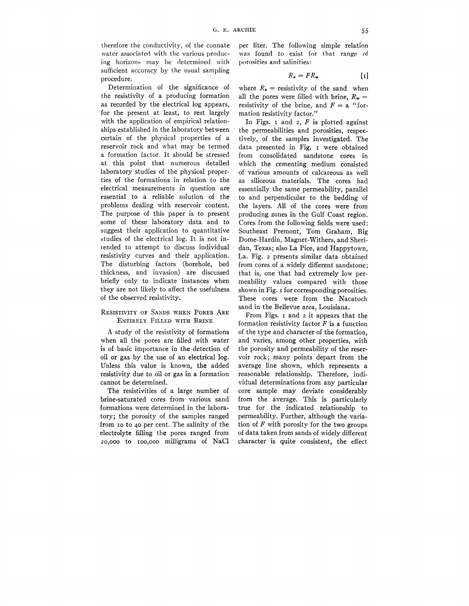therefore the conductivity, of the connate water associated with the various producing horizons may be determined with sufficient accuracy by the usual sampling procedure.

Determination of the significance of the resistivity of a producing formation as recorded by the electrical log appears, for the present at least, to rest largely with the application of empirical relationships established in the laboratory between certain of the physical properties of a reservoir rock and what may be termed a formation factor. It should be stressed at this point that numerous detailed laboratory studies of the physical properties of the formations in relation to the electrical measurements in question are essential to a reliable solution of the problems dealing with reservoir content. The purpose of this paper is to present some of these laboratory data and to suggest their application to quantitative studies of the electrical log. It is not in- [ended to attempt to discuss individual resistivity curves and their application. The disturbing factors (borehole, bed thickness, and invasion) are discussed briefly only to indicate instances when they are not likely to affect the usefulness of the observed resistivity.

## RESISTIVITY OF SANDS WHEN PORES ARE ENTIRELY FILLED WITH BRINE

A study of the resistivity of formations when all the pores are filled with water is of basic importance in the detection of oil or gas by the use of an electrical log. Unless this value is known, the added resistivity due to oil or gas in a formation cannot be determined.

The resistivities of a large number of brine-saturated cores from various sand formations were determined in the laboratory; the porosity of the samples ranged from 10 to 40 per cent. The salinity of the electrolyte filling the pores ranged from 20,000 to 100,000 milligrams of NaCI

per liter. The following simple relation was found to exist for that range of porosities and salinities:

$$
R_{\mathbf{v}} = FR_{\mathbf{w}} \qquad \qquad \textbf{[1]}
$$

where  $R_{\bullet}$  = resistivity of the sand when all the pores were filled with brine,  $R_w =$ resistivity of the brine, and  $F = a$  "formation resistivity factor."

In Figs.  $\bar{I}$  and  $\bar{I}$ ,  $\bar{F}$  is plotted against the permeabilities and porosities, respectively, of the samples investigated. The data presented in Fig. I were obtained from consolidated sandstone cores in which the cementing medium consisted of various amounts of calcareous as well as siliceous materials. The cores had essentially the same permeability, parallel to and perpendicular to the bedding of the layers. All of the cores were from producing zones in the Gulf Coast region. Cores from the following fields were used: Southeast Premont, Tom Graham, Big Dome-Hardin, Magnet-Withers, and Sheridan, Texas; also La Pice, and Happytown, La. Fig. 2 presents similar data obtained from cores of a widely different sandstone; that is, one that had extremely low permeability values compared with those shown in Fig. I for corresponding porosities. These cores were from the Nacatoch sand in the Bellevue area, Louisiana.

From Figs. I and 2 it appears that the formation resistivity factor  $F$  is a function of the type and character of the formation, and varies, among other properties, with the porosity and permeability of the reservoir rock; many points depart from the average line shown, which represents a reasonable relationship. Therefore, individual determinations from any particular core sample may deviate considerably from the average. This is particularly true for the indicated relationship to permeability. Further, although the variation of  $F$  with porosity for the two groups of data taken from sands of widely different character is quite consistent, the effect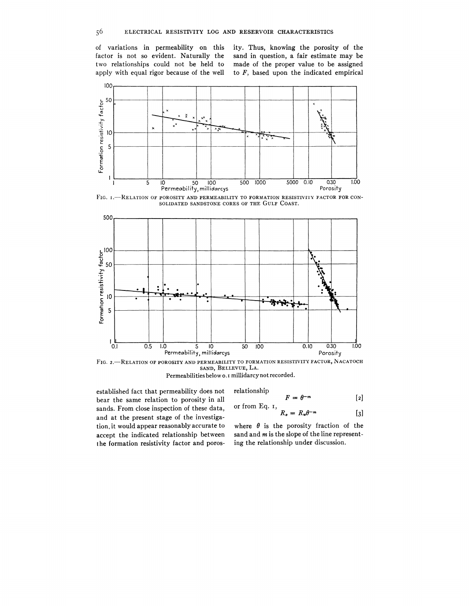of variations in permeability on this factor is not so evident. Naturally the two relationships could not be held to apply with equal rigor because of the well ity. Thus, knowing the porosity of the sand in question, a fair estimate may be made of the proper value to be assigned to  $F$ , based upon the indicated empirical



FIG. I.-RELATION OF POROSITY AND PERMEABILITY TO FORMATION RESISTIVITY FACTOR FOR CON-SOLIDATED SANDSTONE CORES OF THE GULF COAST.



FIG. 2.-RELATION OF POROSITY AND PERMEABILITY TO FORMATION RESISTIVITY FACTOR, NACATOCH SAND, BELLEVUE, LA. Permeabilities below o. I millidarcynot recorded.

established fact that permeability does not bear the same relation to porosity in all sands. From close inspection of these data, and at the present stage of the investigation, it would appear reasonably accurate to accept the indicated relationship between t he formation resistivity factor and poros-

relationship 
$$
F = \theta^{-m} \qquad [2]
$$

or from Eq. 1,  

$$
R_{o} = R_{w} \theta^{-m}
$$
 [3]

where  $\theta$  is the porosity fraction of the sand and *m* is the slope of the line representing the relationship under discussion.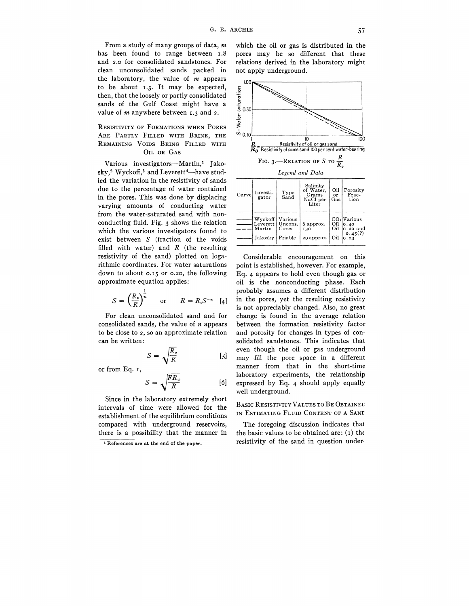From a study of many groups of data, *m*  has been found to range between 1.8 and 2.0 for consolidated sandstones. For clean unconsolidated sands packed in the laboratory, the value of  $m$  appears to be about 1.3. It may be expected, then, that the loosely or partly consolidated sands of the Gulf Coast might have a value of *m* anywhere between 1.3 and 2.

## RESISTIVITY OF FORMATIONS WHEN PORES ARE PARTLY FILLED WITH BRINE, THE REMAINING VOIDS BEING FILLED WITH OIL OR GAS

Various investigators-Martin,<sup>1</sup> Jakosky,<sup>2</sup> Wyckoff,<sup>3</sup> and Leverett<sup>4</sup>—have studied the variation in the resistivity of sands due to the percentage of water contained in the pores. This was done by displacing varying amounts of conducting water from the water-saturated sand with nonconducting fluid. Fig. 3 shows the relation which the various investigators found to exist between *S* (fraction of the voids filled with water) and *R* (the resulting resistivity of the sand) plotted on logarithmic coordinates. For water saturations down to about 0.15 or 0.20, the following approximate equation applies:

$$
S = \left(\frac{R_o}{R}\right)^{\frac{1}{n}} \quad \text{or} \quad R = R_o S^{-n} \quad [4]
$$

For clean unconsolidated sand and for consolidated sands, the value of *n* appears to be close to 2, so an approximate relation can be written:

$$
S = \sqrt{\frac{R_o}{R}}
$$
 [5]

or from Eq. I,

$$
S = \sqrt{\frac{FR_w}{R}}
$$
 [6]

Since in the laboratory extremely short intervals of time were allowed for the establishment of the equilibrium conditions compared with underground reservoirs, there is a possibility that the manner in

which the oil or gas is distributed in the pores may be so different that these relations derived in the laboratory might not apply underground.



| Curve | Investi-<br>gator                                    | Type<br>Sand                | Salinity<br>of Water.<br>Grams<br>NaCl per<br>Liter | Oil<br>oг<br>Gas    | l Porositv<br>Frac-<br>tion                           |
|-------|------------------------------------------------------|-----------------------------|-----------------------------------------------------|---------------------|-------------------------------------------------------|
|       |                                                      |                             |                                                     |                     |                                                       |
|       | Wyckoff   Various<br>Leverett  <br>Martin<br>Jakosky | Uncons.<br>Cores<br>Friable | 8 approx.<br>130<br>20 approx.                      | Oil -<br>Oil<br>Oil | CO2 Various<br> 0.40<br>lo. 20 and<br>0.45(?)<br>0.23 |

Considerable encouragement on this point is established, however. For example, Eq. 4 appears to hold even though gas or oil is the nonconducting phase. Each probably assumes a different distribution in the pores, yet the resulting resistivity is not appreciably changed. Also, no great change is found in the average relation between the formation resistivity factor and porosity for changes in types of consolidated sandstones. This indicates that even though the oil or gas underground may fill the pore space in a different manner from that in the short-time laboratory experiments, the relationship expressed by Eq. 4 should apply equally well underground.

BASIC RESISTIVITY VALUES TO BE OBTAINEE IN ESTIMATING FLUID CONTENT OF A SANE

The foregoing discussion indicates that the basic values to be obtained are:  $(i)$  the resistivity of the sand in question under·

<sup>I</sup>References are at the end of the paper.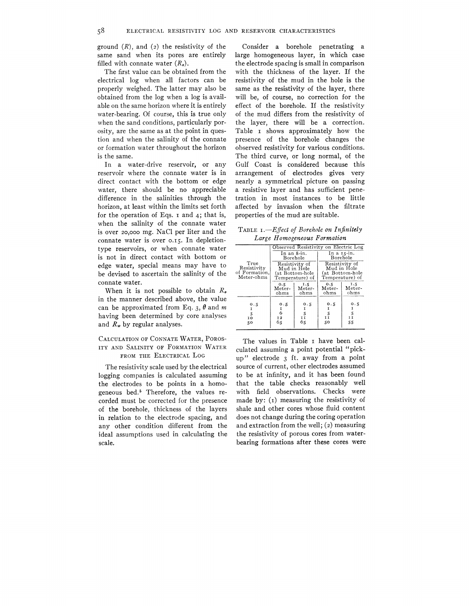ground  $(R)$ , and  $(2)$  the resistivity of the same sand when its pores are entirely filled with connate water  $(R<sub>o</sub>)$ .

The first value can be obtained from the electrical log when all factors can be properly weighed. The latter may also be obtained from the log when a log is available on the same horizon where it is entirely water-bearing. Of course, this is true only when the sand conditions, particularly porosity, are the same as at the point in question and when the salinity of the connate or formation water throughout the horizon is the same.

In a water-drive reservoir, or any reservoir where the connate water is in direct contact with the bottom or edge water, there should be no appreciable difference in the salinities through the horizon, at least within the limits set forth for the operation of Eqs.  $r$  and  $4$ ; that is, when the salinity of the connate water is over 20,000 mg. NaCl per liter and the connate water is over 0.15. In depletiontype reservoirs, or when connate water is not in direct contact with bottom or edge water, special means may have to be devised to ascertain the salinity of the connate water.

When it is not possible to obtain *R.*  in the manner described above, the value can be approximated from Eq. 3,  $\theta$  and m having been determined by core analyses and  $R_w$  by regular analyses.

## CALCULATION OF CONNATE WATER, POROSlTY AND SALINITY OF FORMATION WATER FROM THE ELECTRICAL LOG

The resistivity scale used by the electrical logging companies is calculated assuming the electrodes to be points in a homogeneous bed.<sup>5</sup> Therefore, the values recorded must be corrected for the presence of the borehole, thickness of the layers in relation to the electrode spacing, and any other condition different from the ideal assumptions used in calculating the scale.

Consider a borehole penetrating a large homogeneous layer, in which case the electrode spacing is small in comparison with the thickness of the layer. If the resistivity of the mud in the hole is the same as the resistivity of the layer, there will be, of course, no correction for the effect of the borehole. If the resistivity of the mud differs from the resistivity of the layer, there will be a correction. Table 1 shows approximately how the presence of the borehole changes the observed resistivity for various conditions. The third curve, or long normal, of the Gulf Coast is considered because this arrangement of electrodes gives very nearly a symmetrical picture on passing a resistive layer and has sufficient penetration in most instances to be little affected by invasion when the filtrate properties of the mud are suitable.

| TABLE $I.$ - <i>Effect of Borehole on Infinitely</i> |                             |  |
|------------------------------------------------------|-----------------------------|--|
|                                                      | Large Homogeneous Formation |  |

|               |                         |        | Observed Resistivity on Electric Log |        |  |
|---------------|-------------------------|--------|--------------------------------------|--------|--|
|               | In an 8-in.<br>Borehole |        | In a $15$ -in.<br>Borehole           |        |  |
| True          | Resistivity of          |        | Resistivity of                       |        |  |
| Resistivity   | Mud in Hole             |        | Mud in Hole                          |        |  |
| of Formation. | (at Bottom-hole         |        | (at Bottom-hole                      |        |  |
| Meter-ohms    | Temperature) of         |        | Temperature) of                      |        |  |
|               | 0.5                     | I.5    | 0.5                                  | 1.5    |  |
|               | Meter-                  | Meter- | Meter-                               | Meter- |  |
|               | ohms                    | ohms   | ohms                                 | ohms   |  |
| 0.5           | 0.5                     | 0.5    | 0.5                                  | 0.5    |  |
| 5             | 6                       | 5      | 5                                    | 5      |  |
| 10            | 12                      | ΙI     | II                                   | ΙI     |  |
| 50            | 65                      | 65     | 50                                   | 55     |  |

The values in Table I have been calculated assuming a point potential "pickup" electrode 3 ft. away from a point source of current, other electrodes assumed to be at infinity, and it has been found that the table checks reasonably well with field observations. Checks were made by:  $(i)$  measuring the resistivity of shale and other cores whose fluid content does not change during the coring operation and extraction from the well; (2) measuring the resistivity of porous cores from waterbearing formations after these cores were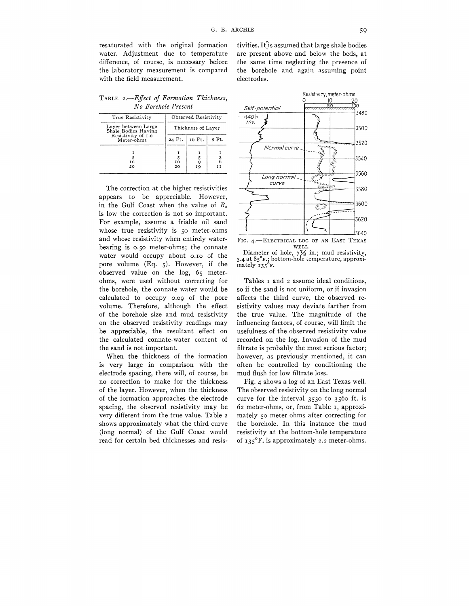resaturated with the original formation water. Adjustment due to temperature difference, of course, is necessary before the laboratory measurement is compared with the field measurement.

TABLE *2.-EiJect of Formation Thickness, No Borehole Present* 

| True Resistivity                           |                           | Observed Resistivity |              |
|--------------------------------------------|---------------------------|----------------------|--------------|
| Layer between Large<br>Shale Bodies Having | Thickness of Layer        |                      |              |
| Resistivity of 1.0<br>Meter-ohms           | 24 Ft.                    | 16 Ft.               | 8 Ft.        |
| 10<br>20                                   | 5<br>I <sub>0</sub><br>20 | 19                   | 3<br>6<br>TΤ |

The correction at the higher resistivities appears to be appreciable. However, in the Gulf Coast when the value of *R.*  is low the correction is not so important. For example, assume a friable oil sand whose true resistivity is 50 meter-ohms and whose resistivity when entirely waterbearing is 0.50 meter-ohms; the connate water would occupy about 0.10 of the pore volume (Eq. 5). However, if the observed value on the log, 65 meterohms, were used without correcting for the borehole, the connate water would be calculated to occupy 0.09 of the pore volume. Therefore, although the effect of the borehole size and mud resistivity on the observed resistivity readings may be appreciable, the resultant effect on the calculated connate-water content of the sand is not important.

When the thickness of the formation is very large in comparison with the electrode spacing, there will, of course, be no correction to make for the thickness of the layer. However, when the thickness of the formation approaches the electrode spacing, the observed resistivity may be very different from the true value. Table 2 shows approximately what the third curve (long normal) of the Gulf Coast would read for certain bed thicknesses and resistivities. It is assumed that large shale bodies are present above and below the beds, at the same time neglecting the presence of the borehole and again assuming point electrodes.



WELL.

Diameter of hole,  $7\frac{12}{3}$  in.; mud resistivity, 3.4 at 85°F.; bottom-hole temperature, approximately  $135^\circ$ F.

Tables I and 2 assume ideal conditions, so if the sand is not uniform, or if invasion affects the third curve, the observed resistivity values may deviate farther from the true value. The magnitude of the influencing factors, of course, will limit the usefulness of the observed resistivity value recorded on the log. Invasion of the mud filtrate is probably the most serious factor; however, as previously mentioned, it can often be controlled by conditioning the mud flush for low filtrate loss.

Fig. 4 shows a log of an East Texas well. The observed resistivity on the long normal curve for the interval 3530 to 3560 ft. is 62 meter-ohms, or, from Table I, approximately 50 meter· ohms after correcting for the borehole. In this instance the mud resistivity at the bottom-hole temperature of 135°F. is approximately 2.2 meter-ohms.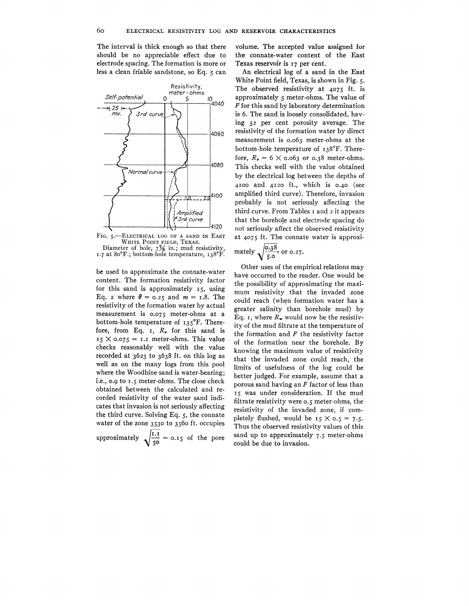The interval is thick enough so that there should be no appreciable effect due to electrode spacing. The formation is more or less a clean friable sandstone, so Eq. 5 can



FIG. 5.-ELECTRICAL LOG OF A SAND IN EAST WHITE POINT FIELD, TEXAS.

Diameter of hole, 7% in.; mud resistivity, 1.7 at 80°F.; bottom-hole temperature, 138°F.

be used to approximate the connate-water content. The formation resistivity factor for this sand is approximately  $15$ , using Eq. 2 where  $\theta = 0.25$  and  $m = 1.8$ . The resistivity of the formation water by actual measurement is 0.075 meter-ohms at a bottom-hole temperature of 135°F. Therefore, from Eq. I, *R.* for this sand is  $15 \times 0.075 = 1.1$  meter-ohms. This value checks reasonably well with the value recorded at 3623 to 3638 ft. on this log as well as on the many logs from this pool where the Woodbine sand is water-bearing; i.e., 0.9 to 1.5 meter-ohms. The close check obtained between the calculated and recorded resistivity of the water sand indicates that invasion is not seriously affecting the third curve. Solving Eq. 5, the connate water of the zone 3530 to 3560 ft. occupies

approximately  $\sqrt{\frac{1.1}{50}} = 0.15$  of the pore

volume. The accepted value assigned for the connate-water content of the East Texas reservoir is 17 per cent.

An electrical log of a sand in the East White Point field, Texas, is shown in Fig. 5. The observed resistivity at 4075 ft. is approximately 5 meter-ohms. The value of F for this sand by laboratory determination is 6. The sand is loosely consolidated, having 32 per cent porosity average. The resistivity of the formation water by direct measurement is 0.063 meter-ohms at the bottom-hole temperature of 138°F. Therefore,  $R_e = 6 \times \text{o.o63}$  or  $\text{o.38}$  meter-ohms. This checks well with the value obtained by the electrical log between the depths of 4100 and 4120 ft., which is 0.40 (see amplified third curve). Therefore, invasion probably is not seriously affecting the third curve. From Tables I and 2 it appears that the borehole and electrode spacing do not seriously affect the observed resistivity at 4075 ft. The connate water is approxi-

mately 
$$
\sqrt{\frac{0.38}{5.0}}
$$
, or 0.27.

Other uses of the empirical relations may have occurred to the reader. One would be the possibility of approximating the maximum resistivity that the invaded zone could reach (when formation water has a greater salinity than borehole mud) by Eq. 1, where  $R_{\nu}$  would now be the resistivity of the mud filtrate at the temperature of the formation and *F* the resistivity factor of the formation near the borehole. By knowing the maximum value of resistivity that the invaded zone could reach, the limits of usefulness of the log could be better judged. For example, assume that a porous sand having an  $F$  factor of less than IS was under consideration. If the mud filtrate resistivity were 0.5 meter-ohms, the resistivity of the invaded zone, if completely flushed, would be  $15 \times 0.5 = 7.5$ . Thus the observed resistivity values of this sand up to approximately 7.5 meter-ohms could be due to invasion.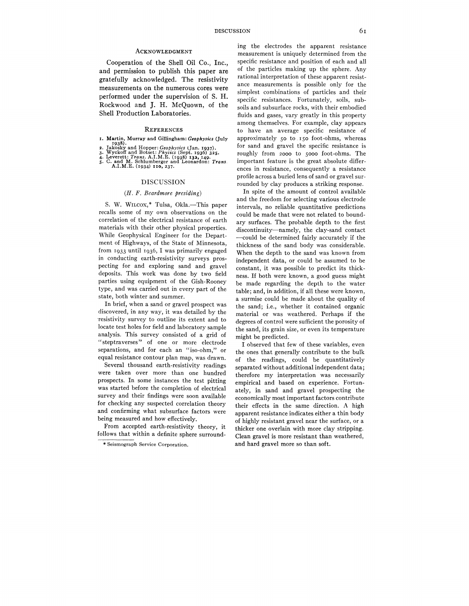### ACKNOWLEDGMENT

Cooperation of the Shell Oil Co., Inc., and permission to publish this paper are gratefully acknowledged. The resistivity measurements on the numerous cores were performed under the supervision of S. H. Rockwood and J. H. McQuown, of the Shell Production Laboratories.

#### **REFERENCES**

- 
- 
- 
- I. Martin, Murray and Gillingham: *Geophysics* (July<br>1938).<br>2. Jakosky and Hopper: *Geophysics* (Jan. 1937).<br>3. Wyckoff and Botset: *Physics* (Sept. 1936) 325.<br>4. Leverett: Trans. A.I.M.E. (1938) 132, 149.<br>5. C. and M. Sch

### DISCUSSION

# *(H. F. Beardmore presiding)*

S. W. WILCOX,\* Tulsa, Okla.-This paper recalls some of my own observations on the correlation of the electrical resistance of earth materials with their other physical properties. While Geophysical Engineer for the Department of Highways, of the State of Minnesota, from 1933 until 1936, I was primarily engaged in conducting earth-resistivity surveys prospecting for and exploring sand and gravel deposits. This work was done by two field parties using equipment of the Gish-Rooney type, and was carried out in every part of the state, both winter and summer.

In brief, when a sand or gravel prospect was discovered, in any way, it was detailed by the resistivity survey to outline its extent and to locate test holes for field and laboratory sample analysis. This survey consisted of a grid of "steptraverses" of one or more electrode separations, and for each an "iso-ohm," or equal resistance contour plan map, was drawn.

Several thousand earth-resistivity readings were taken over more than one hundred prospects. In some instances the test pitting was started before the completion of electrical survey and their findings were soon available for checking any suspected correlation theory and confirming what subsurface factors were being measured and how effectively.

From accepted earth-resistivity theory, it follows that within a definite sphere surround-

ing the electrodes the apparent resistance measurement is uniquely determined from the specific resistance and position of each and all of the particles making up the sphere. Any rational interpretation of these apparent resistance measurements is possible only for the simplest combinations of particles and their specific resistances. Fortunately, soils, subsoils and subsurface rocks, with their embodied fluids and gases, vary greatly in this property among themselves. For example, clay appears to have an average specific resistance of approximately 50 to. 150 foot-ohms, whereas for sand and gravel the specific resistance is roughly from 2000 to 5000 foot-ohms. The important feature is the great absolute differences in resistance, consequently a resistance profile across a buried lens of sand or gravel surrounded by clay produces a striking response.

In spite of the amount of control available and the freedom for selecting various electrode intervals, no reliable quantitative predictions could be made that were not related to boundary surfaces. The probable depth to the first discontinuity-namely, the clay-sand contact -could be determined fairly accurately if the thickness of the sand body was considerable. When the depth to the sand was known from independent data, or could be assumed to be constant, it was possible to predict its thickness. If both were known, a good guess might be made regarding the depth to the water· table; and, in addition, if all these were known, a surmise could be made about the quality of the sand; i.e., whether it contained organic material or was weathered. Perhaps if the degrees of control were sufficient the porosity of the sand, its grain size, or even its temperature might be predicted.

I observed that few of these variables, even the ones that generally contribute to the bulk of the readings, could be quantitatively separated without additional independent data; therefore my interpretation was necessarily empirical and based on experience. Fortunately, in sand and gravel prospecting the economically most important factors contribute their effects in the same direction. A high apparent resistance indicates either a thin body of highly resistant gravel near the surface, or a thicker one overlain with more clay stripping. Clean gravel is more resistant than weathered, and hard gravel more so than soft.

<sup>\*</sup> Seismograph Service Corporation.